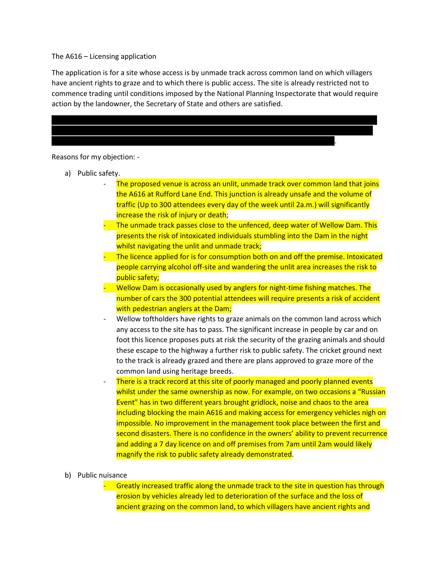The A616 – Licensing application

The application is for a site whose access is by unmade track across common land on which villagers have ancient rights to graze and to which there is public access. The site is already restricted not to commence trading until conditions imposed by the National Planning Inspectorate that would require action by the landowner, the Secretary of State and others are satisfied.



Reasons for my objection: -

- a) Public safety.
	- The proposed venue is across an unlit, unmade track over common land that joins the A616 at Rufford Lane End. This junction is already unsafe and the volume of traffic (Up to 300 attendees every day of the week until 2a.m.) will significantly increase the risk of injury or death;
	- The unmade track passes close to the unfenced, deep water of Wellow Dam. This presents the risk of intoxicated individuals stumbling into the Dam in the night whilst navigating the unlit and unmade track;
	- The licence applied for is for consumption both on and off the premise. Intoxicated people carrying alcohol off-site and wandering the unlit area increases the risk to public safety;
	- Wellow Dam is occasionally used by anglers for night-time fishing matches. The number of cars the 300 potential attendees will require presents a risk of accident with pedestrian anglers at the Dam;
	- Wellow toftholders have rights to graze animals on the common land across which any access to the site has to pass. The significant increase in people by car and on foot this licence proposes puts at risk the security of the grazing animals and should these escape to the highway a further risk to public safety. The cricket ground next to the track is already grazed and there are plans approved to graze more of the common land using heritage breeds.
	- There is a track record at this site of poorly managed and poorly planned events whilst under the same ownership as now. For example, on two occasions a "Russian" Event" has in two different years brought gridlock, noise and chaos to the area including blocking the main A616 and making access for emergency vehicles nigh on impossible. No improvement in the management took place between the first and second disasters. There is no confidence in the owners' ability to prevent recurrence and adding a 7 day licence on and off premises from 7am until 2am would likely magnify the risk to public safety already demonstrated.

## b) Public nuisance

Greatly increased traffic along the unmade track to the site in question has through erosion by vehicles already led to deterioration of the surface and the loss of ancient grazing on the common land, to which villagers have ancient rights and